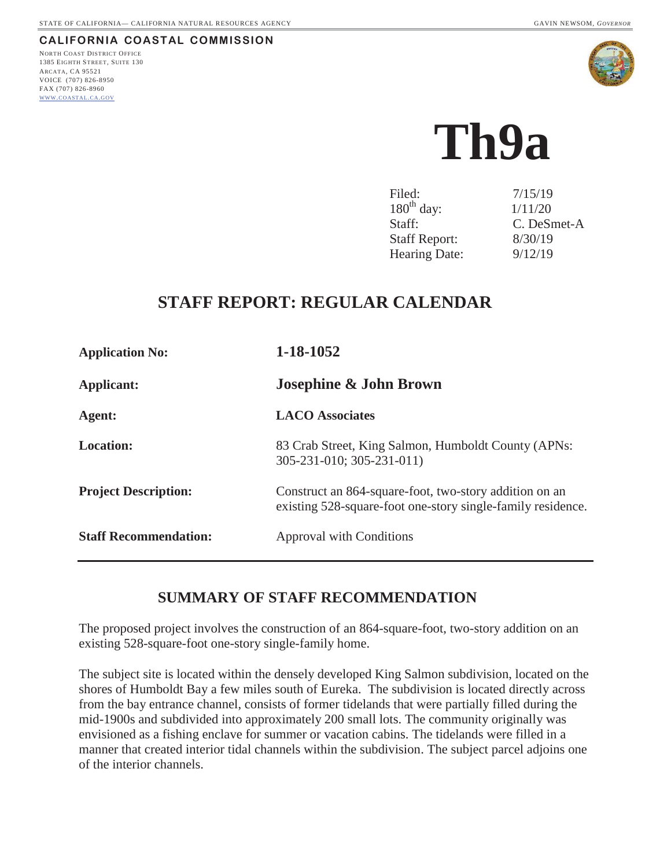**CALIFORNIA COASTAL COMMISSION** NORTH COAST DISTRICT OFFICE

1385 EIGHTH STREET, SUITE 130 ARCATA, CA 95521 VOICE (707) 826-8950 FAX (707) 826-8960 WWW.COASTAL.CA.GOV





# **Th9a**

| Filed:               | 7/15/19     |
|----------------------|-------------|
| $180th$ day:         | 1/11/20     |
| Staff:               | C. DeSmet-A |
| <b>Staff Report:</b> | 8/30/19     |
| Hearing Date:        | 9/12/19     |

# **STAFF REPORT: REGULAR CALENDAR**

| <b>Application No:</b>       | 1-18-1052                                                                                                             |  |
|------------------------------|-----------------------------------------------------------------------------------------------------------------------|--|
| <b>Applicant:</b>            | <b>Josephine &amp; John Brown</b>                                                                                     |  |
| Agent:                       | <b>LACO</b> Associates                                                                                                |  |
| <b>Location:</b>             | 83 Crab Street, King Salmon, Humboldt County (APNs:<br>305-231-010; 305-231-011)                                      |  |
| <b>Project Description:</b>  | Construct an 864-square-foot, two-story addition on an<br>existing 528-square-foot one-story single-family residence. |  |
| <b>Staff Recommendation:</b> | Approval with Conditions                                                                                              |  |

## **SUMMARY OF STAFF RECOMMENDATION**

The proposed project involves the construction of an 864-square-foot, two-story addition on an existing 528-square-foot one-story single-family home.

The subject site is located within the densely developed King Salmon subdivision, located on the shores of Humboldt Bay a few miles south of Eureka. The subdivision is located directly across from the bay entrance channel, consists of former tidelands that were partially filled during the mid-1900s and subdivided into approximately 200 small lots. The community originally was envisioned as a fishing enclave for summer or vacation cabins. The tidelands were filled in a manner that created interior tidal channels within the subdivision. The subject parcel adjoins one of the interior channels.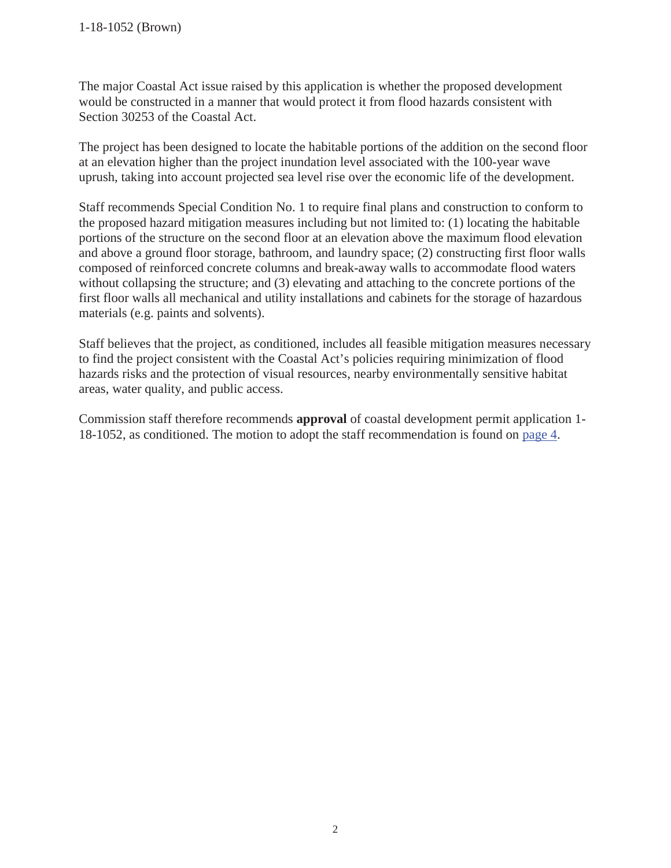The major Coastal Act issue raised by this application is whether the proposed development would be constructed in a manner that would protect it from flood hazards consistent with Section 30253 of the Coastal Act.

The project has been designed to locate the habitable portions of the addition on the second floor at an elevation higher than the project inundation level associated with the 100-year wave uprush, taking into account projected sea level rise over the economic life of the development.

Staff recommends Special Condition No. 1 to require final plans and construction to conform to the proposed hazard mitigation measures including but not limited to: (1) locating the habitable portions of the structure on the second floor at an elevation above the maximum flood elevation and above a ground floor storage, bathroom, and laundry space; (2) constructing first floor walls composed of reinforced concrete columns and break-away walls to accommodate flood waters without collapsing the structure; and (3) elevating and attaching to the concrete portions of the first floor walls all mechanical and utility installations and cabinets for the storage of hazardous materials (e.g. paints and solvents).

Staff believes that the project, as conditioned, includes all feasible mitigation measures necessary to find the project consistent with the Coastal Act's policies requiring minimization of flood hazards risks and the protection of visual resources, nearby environmentally sensitive habitat areas, water quality, and public access.

Commission staff therefore recommends **approval** of coastal development permit application 1- 18-1052, as conditioned. The motion to adopt the staff recommendation is found on page 4.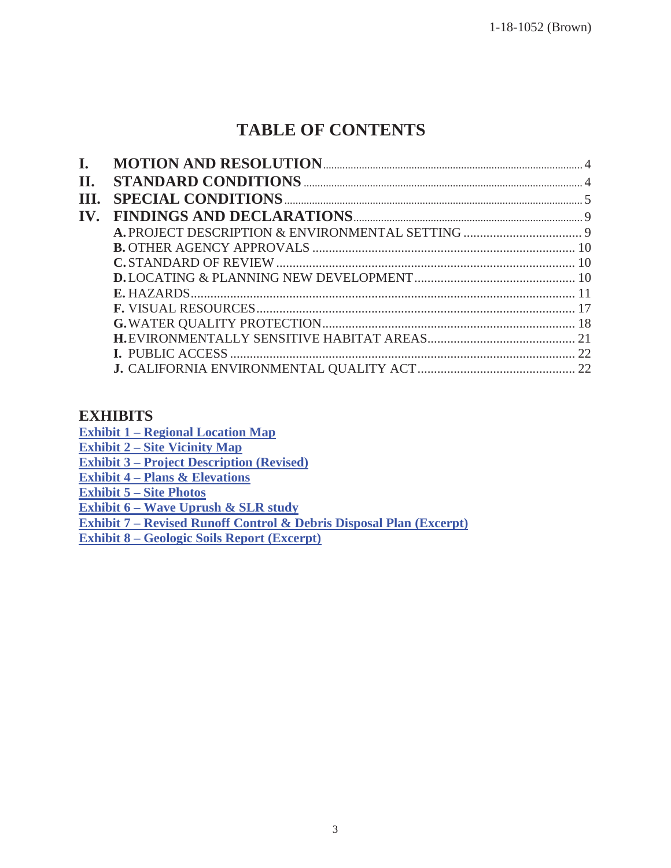# **TABLE OF CONTENTS**

| I.   |  |
|------|--|
| Π.   |  |
| III. |  |
| IV.  |  |
|      |  |
|      |  |
|      |  |
|      |  |
|      |  |
|      |  |
|      |  |
|      |  |
|      |  |
|      |  |

#### **EXHIBITS**

**Exhibit 1 – Regional Location Map** 

**Exhibit 2 – Site Vicinity Map** 

**Exhibit 3 – Project Description (Revised)** 

**Exhibit 4 – Plans & Elevations** 

**Exhibit 5 – Site Photos** 

**Exhibit 6 – Wave Uprush & SLR study** 

**Exhibit 7 – [Revised Runoff Control & Debris Disposal Plan \(Excerpt\)](https://documents.coastal.ca.gov/reports/2019/9/th9a/th9a-9-2019-exhibits.pdf)** 

**Exhibit 8 – Geologic Soils Report (Excerpt)**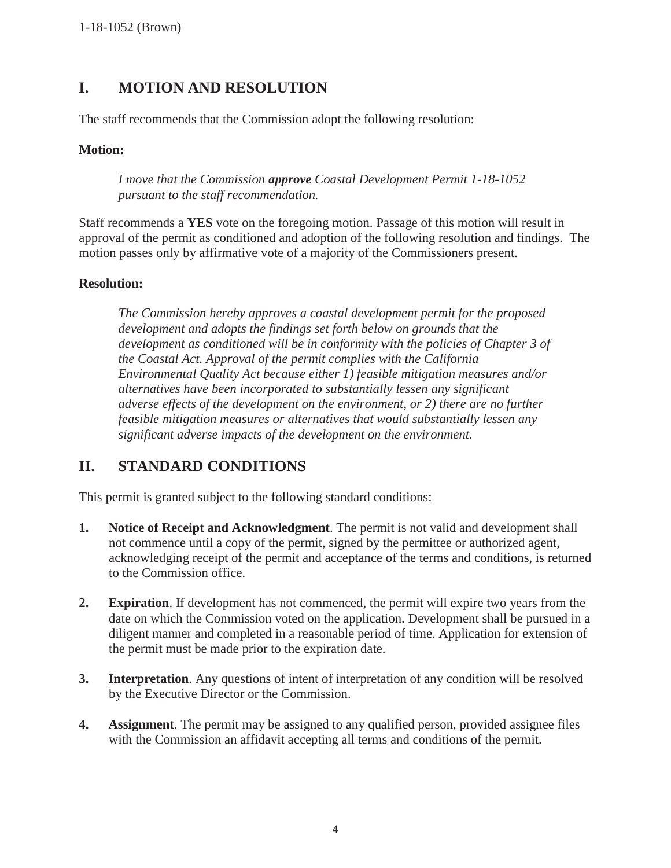## **I. MOTION AND RESOLUTION**

The staff recommends that the Commission adopt the following resolution:

#### **Motion:**

*I move that the Commission approve Coastal Development Permit 1-18-1052 pursuant to the staff recommendation.* 

Staff recommends a **YES** vote on the foregoing motion. Passage of this motion will result in approval of the permit as conditioned and adoption of the following resolution and findings. The motion passes only by affirmative vote of a majority of the Commissioners present.

#### **Resolution:**

*The Commission hereby approves a coastal development permit for the proposed development and adopts the findings set forth below on grounds that the development as conditioned will be in conformity with the policies of Chapter 3 of the Coastal Act. Approval of the permit complies with the California Environmental Quality Act because either 1) feasible mitigation measures and/or alternatives have been incorporated to substantially lessen any significant adverse effects of the development on the environment, or 2) there are no further feasible mitigation measures or alternatives that would substantially lessen any significant adverse impacts of the development on the environment.* 

## **II. STANDARD CONDITIONS**

This permit is granted subject to the following standard conditions:

- **1. Notice of Receipt and Acknowledgment**. The permit is not valid and development shall not commence until a copy of the permit, signed by the permittee or authorized agent, acknowledging receipt of the permit and acceptance of the terms and conditions, is returned to the Commission office.
- **2. Expiration**. If development has not commenced, the permit will expire two years from the date on which the Commission voted on the application. Development shall be pursued in a diligent manner and completed in a reasonable period of time. Application for extension of the permit must be made prior to the expiration date.
- **3. Interpretation**. Any questions of intent of interpretation of any condition will be resolved by the Executive Director or the Commission.
- **4. Assignment**. The permit may be assigned to any qualified person, provided assignee files with the Commission an affidavit accepting all terms and conditions of the permit.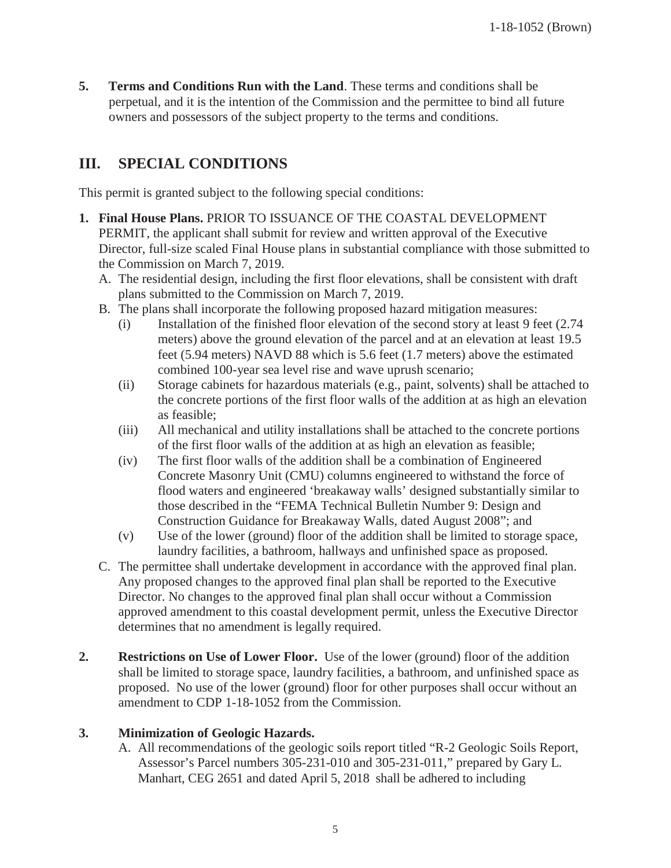**5. Terms and Conditions Run with the Land**. These terms and conditions shall be perpetual, and it is the intention of the Commission and the permittee to bind all future owners and possessors of the subject property to the terms and conditions.

## **III. SPECIAL CONDITIONS**

This permit is granted subject to the following special conditions:

- **1. Final House Plans.** PRIOR TO ISSUANCE OF THE COASTAL DEVELOPMENT PERMIT, the applicant shall submit for review and written approval of the Executive Director, full-size scaled Final House plans in substantial compliance with those submitted to the Commission on March 7, 2019.
	- A. The residential design, including the first floor elevations, shall be consistent with draft plans submitted to the Commission on March 7, 2019.
	- B. The plans shall incorporate the following proposed hazard mitigation measures:
		- (i) Installation of the finished floor elevation of the second story at least 9 feet (2.74 meters) above the ground elevation of the parcel and at an elevation at least 19.5 feet (5.94 meters) NAVD 88 which is 5.6 feet (1.7 meters) above the estimated combined 100-year sea level rise and wave uprush scenario;
		- (ii) Storage cabinets for hazardous materials (e.g., paint, solvents) shall be attached to the concrete portions of the first floor walls of the addition at as high an elevation as feasible;
		- (iii) All mechanical and utility installations shall be attached to the concrete portions of the first floor walls of the addition at as high an elevation as feasible;
		- (iv) The first floor walls of the addition shall be a combination of Engineered Concrete Masonry Unit (CMU) columns engineered to withstand the force of flood waters and engineered 'breakaway walls' designed substantially similar to those described in the "FEMA Technical Bulletin Number 9: Design and Construction Guidance for Breakaway Walls, dated August 2008"; and
		- (v) Use of the lower (ground) floor of the addition shall be limited to storage space, laundry facilities, a bathroom, hallways and unfinished space as proposed.
	- C. The permittee shall undertake development in accordance with the approved final plan. Any proposed changes to the approved final plan shall be reported to the Executive Director. No changes to the approved final plan shall occur without a Commission approved amendment to this coastal development permit, unless the Executive Director determines that no amendment is legally required.
- **2. Restrictions on Use of Lower Floor.** Use of the lower (ground) floor of the addition shall be limited to storage space, laundry facilities, a bathroom, and unfinished space as proposed. No use of the lower (ground) floor for other purposes shall occur without an amendment to CDP 1-18-1052 from the Commission.

#### **3. Minimization of Geologic Hazards.**

A. All recommendations of the geologic soils report titled "R-2 Geologic Soils Report, Assessor's Parcel numbers 305-231-010 and 305-231-011," prepared by Gary L. Manhart, CEG 2651 and dated April 5, 2018 shall be adhered to including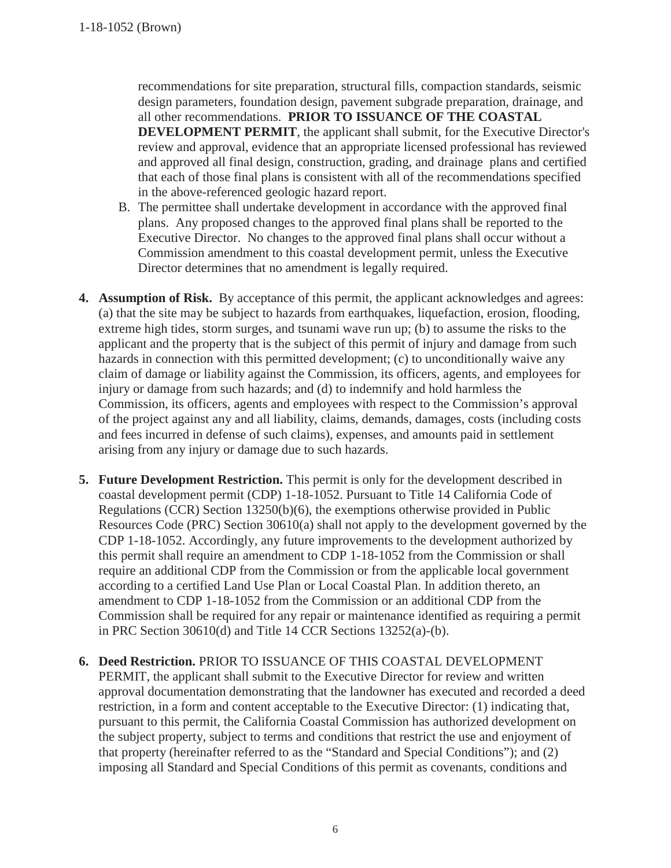recommendations for site preparation, structural fills, compaction standards, seismic design parameters, foundation design, pavement subgrade preparation, drainage, and all other recommendations. **PRIOR TO ISSUANCE OF THE COASTAL DEVELOPMENT PERMIT**, the applicant shall submit, for the Executive Director's review and approval, evidence that an appropriate licensed professional has reviewed and approved all final design, construction, grading, and drainage plans and certified that each of those final plans is consistent with all of the recommendations specified in the above-referenced geologic hazard report.

- B. The permittee shall undertake development in accordance with the approved final plans. Any proposed changes to the approved final plans shall be reported to the Executive Director. No changes to the approved final plans shall occur without a Commission amendment to this coastal development permit, unless the Executive Director determines that no amendment is legally required.
- **4.** Assumption of Risk. By acceptance of this permit, the applicant acknowledges and agrees: (a) that the site may be subject to hazards from earthquakes, liquefaction, erosion, flooding, extreme high tides, storm surges, and tsunami wave run up; (b) to assume the risks to the applicant and the property that is the subject of this permit of injury and damage from such hazards in connection with this permitted development; (c) to unconditionally waive any claim of damage or liability against the Commission, its officers, agents, and employees for injury or damage from such hazards; and (d) to indemnify and hold harmless the Commission, its officers, agents and employees with respect to the Commission's approval of the project against any and all liability, claims, demands, damages, costs (including costs and fees incurred in defense of such claims), expenses, and amounts paid in settlement arising from any injury or damage due to such hazards.
- **5. Future Development Restriction.** This permit is only for the development described in coastal development permit (CDP) 1-18-1052. Pursuant to Title 14 California Code of Regulations (CCR) Section 13250(b)(6), the exemptions otherwise provided in Public Resources Code (PRC) Section 30610(a) shall not apply to the development governed by the CDP 1-18-1052. Accordingly, any future improvements to the development authorized by this permit shall require an amendment to CDP 1-18-1052 from the Commission or shall require an additional CDP from the Commission or from the applicable local government according to a certified Land Use Plan or Local Coastal Plan. In addition thereto, an amendment to CDP 1-18-1052 from the Commission or an additional CDP from the Commission shall be required for any repair or maintenance identified as requiring a permit in PRC Section 30610(d) and Title 14 CCR Sections 13252(a)-(b).
- **6. Deed Restriction.** PRIOR TO ISSUANCE OF THIS COASTAL DEVELOPMENT PERMIT, the applicant shall submit to the Executive Director for review and written approval documentation demonstrating that the landowner has executed and recorded a deed restriction, in a form and content acceptable to the Executive Director: (1) indicating that, pursuant to this permit, the California Coastal Commission has authorized development on the subject property, subject to terms and conditions that restrict the use and enjoyment of that property (hereinafter referred to as the "Standard and Special Conditions"); and (2) imposing all Standard and Special Conditions of this permit as covenants, conditions and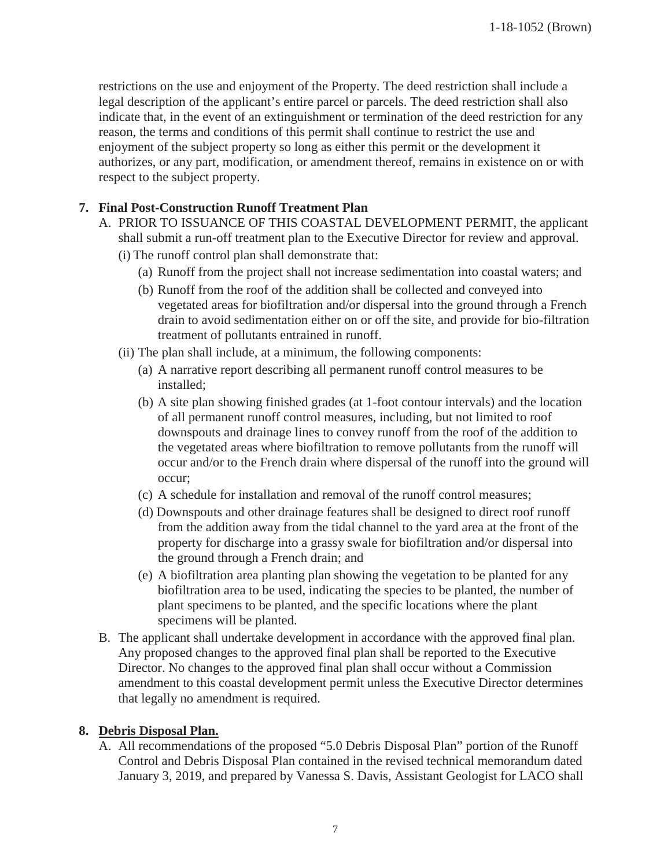restrictions on the use and enjoyment of the Property. The deed restriction shall include a legal description of the applicant's entire parcel or parcels. The deed restriction shall also indicate that, in the event of an extinguishment or termination of the deed restriction for any reason, the terms and conditions of this permit shall continue to restrict the use and enjoyment of the subject property so long as either this permit or the development it authorizes, or any part, modification, or amendment thereof, remains in existence on or with respect to the subject property.

#### **7. Final Post-Construction Runoff Treatment Plan**

- A. PRIOR TO ISSUANCE OF THIS COASTAL DEVELOPMENT PERMIT, the applicant shall submit a run-off treatment plan to the Executive Director for review and approval.
	- (i) The runoff control plan shall demonstrate that:
		- (a) Runoff from the project shall not increase sedimentation into coastal waters; and
		- (b) Runoff from the roof of the addition shall be collected and conveyed into vegetated areas for biofiltration and/or dispersal into the ground through a French drain to avoid sedimentation either on or off the site, and provide for bio-filtration treatment of pollutants entrained in runoff.
	- (ii) The plan shall include, at a minimum, the following components:
		- (a) A narrative report describing all permanent runoff control measures to be installed;
		- (b) A site plan showing finished grades (at 1-foot contour intervals) and the location of all permanent runoff control measures, including, but not limited to roof downspouts and drainage lines to convey runoff from the roof of the addition to the vegetated areas where biofiltration to remove pollutants from the runoff will occur and/or to the French drain where dispersal of the runoff into the ground will occur;
		- (c) A schedule for installation and removal of the runoff control measures;
		- (d) Downspouts and other drainage features shall be designed to direct roof runoff from the addition away from the tidal channel to the yard area at the front of the property for discharge into a grassy swale for biofiltration and/or dispersal into the ground through a French drain; and
		- (e) A biofiltration area planting plan showing the vegetation to be planted for any biofiltration area to be used, indicating the species to be planted, the number of plant specimens to be planted, and the specific locations where the plant specimens will be planted.
- B. The applicant shall undertake development in accordance with the approved final plan. Any proposed changes to the approved final plan shall be reported to the Executive Director. No changes to the approved final plan shall occur without a Commission amendment to this coastal development permit unless the Executive Director determines that legally no amendment is required.

#### **8. Debris Disposal Plan.**

A. All recommendations of the proposed "5.0 Debris Disposal Plan" portion of the Runoff Control and Debris Disposal Plan contained in the revised technical memorandum dated January 3, 2019, and prepared by Vanessa S. Davis, Assistant Geologist for LACO shall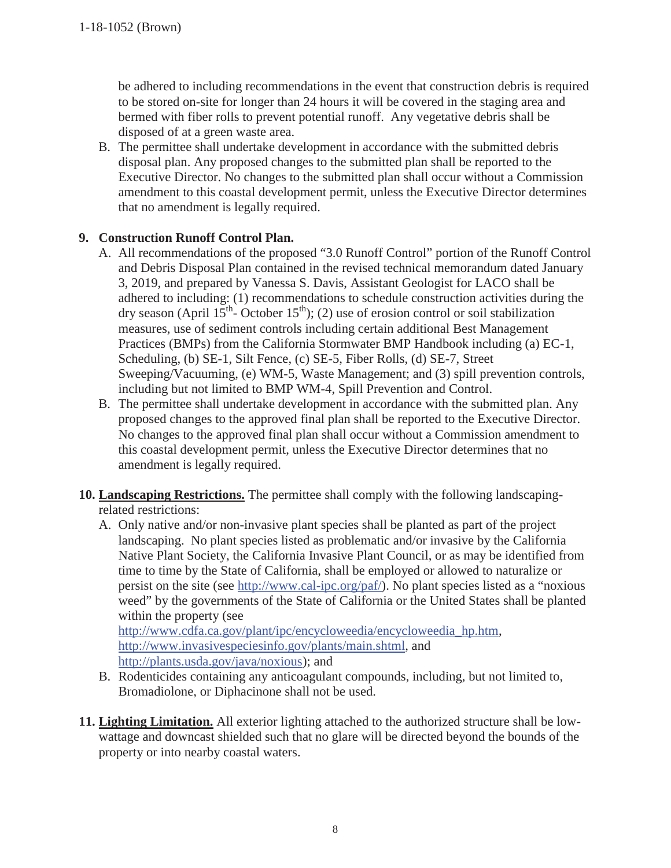be adhered to including recommendations in the event that construction debris is required to be stored on-site for longer than 24 hours it will be covered in the staging area and bermed with fiber rolls to prevent potential runoff. Any vegetative debris shall be disposed of at a green waste area.

B. The permittee shall undertake development in accordance with the submitted debris disposal plan. Any proposed changes to the submitted plan shall be reported to the Executive Director. No changes to the submitted plan shall occur without a Commission amendment to this coastal development permit, unless the Executive Director determines that no amendment is legally required.

#### **9. Construction Runoff Control Plan.**

- A. All recommendations of the proposed "3.0 Runoff Control" portion of the Runoff Control and Debris Disposal Plan contained in the revised technical memorandum dated January 3, 2019, and prepared by Vanessa S. Davis, Assistant Geologist for LACO shall be adhered to including: (1) recommendations to schedule construction activities during the dry season (April  $15^{th}$ - October  $15^{th}$ ); (2) use of erosion control or soil stabilization measures, use of sediment controls including certain additional Best Management Practices (BMPs) from the California Stormwater BMP Handbook including (a) EC-1, Scheduling, (b) SE-1, Silt Fence, (c) SE-5, Fiber Rolls, (d) SE-7, Street Sweeping/Vacuuming, (e) WM-5, Waste Management; and (3) spill prevention controls, including but not limited to BMP WM-4, Spill Prevention and Control.
- B. The permittee shall undertake development in accordance with the submitted plan. Any proposed changes to the approved final plan shall be reported to the Executive Director. No changes to the approved final plan shall occur without a Commission amendment to this coastal development permit, unless the Executive Director determines that no amendment is legally required.
- **10. Landscaping Restrictions.** The permittee shall comply with the following landscapingrelated restrictions:
	- A. Only native and/or non-invasive plant species shall be planted as part of the project landscaping. No plant species listed as problematic and/or invasive by the California Native Plant Society, the California Invasive Plant Council, or as may be identified from time to time by the State of California, shall be employed or allowed to naturalize or persist on the site (see http://www.cal-ipc.org/paf/). No plant species listed as a "noxious weed" by the governments of the State of California or the United States shall be planted within the property (see

http://www.cdfa.ca.gov/plant/ipc/encycloweedia/encycloweedia\_hp.htm, http://www.invasivespeciesinfo.gov/plants/main.shtml, and http://plants.usda.gov/java/noxious); and

- B. Rodenticides containing any anticoagulant compounds, including, but not limited to, Bromadiolone, or Diphacinone shall not be used.
- **11. Lighting Limitation.** All exterior lighting attached to the authorized structure shall be lowwattage and downcast shielded such that no glare will be directed beyond the bounds of the property or into nearby coastal waters.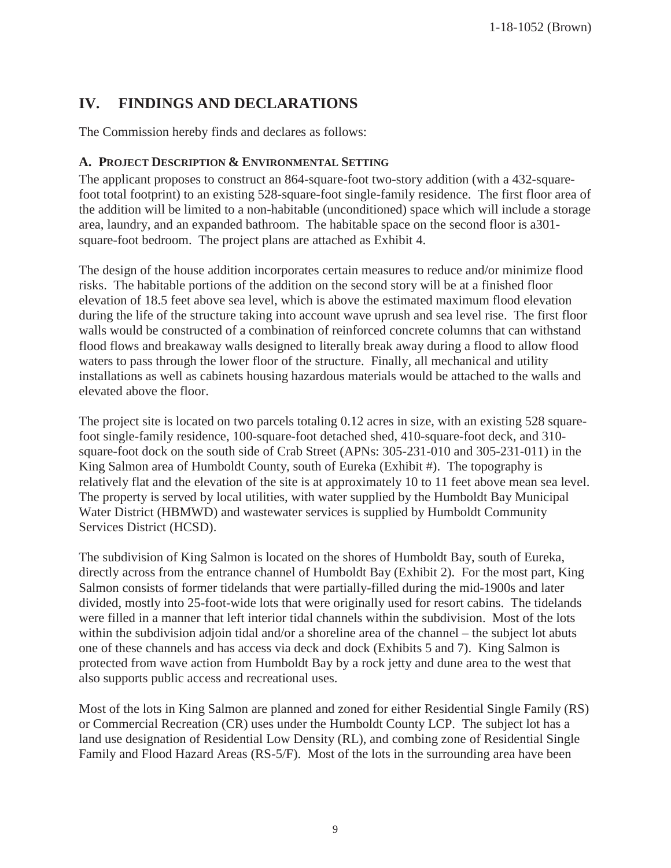## **IV. FINDINGS AND DECLARATIONS**

The Commission hereby finds and declares as follows:

#### **A. PROJECT DESCRIPTION & ENVIRONMENTAL SETTING**

The applicant proposes to construct an 864-square-foot two-story addition (with a 432-squarefoot total footprint) to an existing 528-square-foot single-family residence. The first floor area of the addition will be limited to a non-habitable (unconditioned) space which will include a storage area, laundry, and an expanded bathroom. The habitable space on the second floor is a301 square-foot bedroom. The project plans are attached as Exhibit 4.

The design of the house addition incorporates certain measures to reduce and/or minimize flood risks. The habitable portions of the addition on the second story will be at a finished floor elevation of 18.5 feet above sea level, which is above the estimated maximum flood elevation during the life of the structure taking into account wave uprush and sea level rise. The first floor walls would be constructed of a combination of reinforced concrete columns that can withstand flood flows and breakaway walls designed to literally break away during a flood to allow flood waters to pass through the lower floor of the structure. Finally, all mechanical and utility installations as well as cabinets housing hazardous materials would be attached to the walls and elevated above the floor.

The project site is located on two parcels totaling 0.12 acres in size, with an existing 528 squarefoot single-family residence, 100-square-foot detached shed, 410-square-foot deck, and 310 square-foot dock on the south side of Crab Street (APNs: 305-231-010 and 305-231-011) in the King Salmon area of Humboldt County, south of Eureka (Exhibit #). The topography is relatively flat and the elevation of the site is at approximately 10 to 11 feet above mean sea level. The property is served by local utilities, with water supplied by the Humboldt Bay Municipal Water District (HBMWD) and wastewater services is supplied by Humboldt Community Services District (HCSD).

The subdivision of King Salmon is located on the shores of Humboldt Bay, south of Eureka, directly across from the entrance channel of Humboldt Bay (Exhibit 2). For the most part, King Salmon consists of former tidelands that were partially-filled during the mid-1900s and later divided, mostly into 25-foot-wide lots that were originally used for resort cabins. The tidelands were filled in a manner that left interior tidal channels within the subdivision. Most of the lots within the subdivision adjoin tidal and/or a shoreline area of the channel – the subject lot abuts one of these channels and has access via deck and dock (Exhibits 5 and 7). King Salmon is protected from wave action from Humboldt Bay by a rock jetty and dune area to the west that also supports public access and recreational uses.

Most of the lots in King Salmon are planned and zoned for either Residential Single Family (RS) or Commercial Recreation (CR) uses under the Humboldt County LCP. The subject lot has a land use designation of Residential Low Density (RL), and combing zone of Residential Single Family and Flood Hazard Areas (RS-5/F). Most of the lots in the surrounding area have been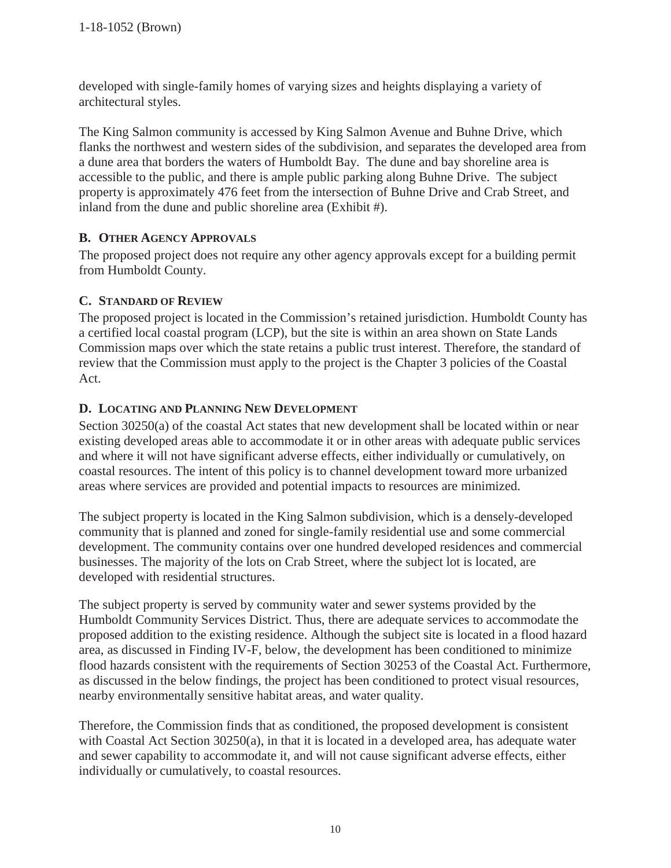developed with single-family homes of varying sizes and heights displaying a variety of architectural styles.

The King Salmon community is accessed by King Salmon Avenue and Buhne Drive, which flanks the northwest and western sides of the subdivision, and separates the developed area from a dune area that borders the waters of Humboldt Bay. The dune and bay shoreline area is accessible to the public, and there is ample public parking along Buhne Drive. The subject property is approximately 476 feet from the intersection of Buhne Drive and Crab Street, and inland from the dune and public shoreline area (Exhibit #).

#### **B. OTHER AGENCY APPROVALS**

The proposed project does not require any other agency approvals except for a building permit from Humboldt County.

#### **C. STANDARD OF REVIEW**

The proposed project is located in the Commission's retained jurisdiction. Humboldt County has a certified local coastal program (LCP), but the site is within an area shown on State Lands Commission maps over which the state retains a public trust interest. Therefore, the standard of review that the Commission must apply to the project is the Chapter 3 policies of the Coastal Act.

#### **D. LOCATING AND PLANNING NEW DEVELOPMENT**

Section 30250(a) of the coastal Act states that new development shall be located within or near existing developed areas able to accommodate it or in other areas with adequate public services and where it will not have significant adverse effects, either individually or cumulatively, on coastal resources. The intent of this policy is to channel development toward more urbanized areas where services are provided and potential impacts to resources are minimized.

The subject property is located in the King Salmon subdivision, which is a densely-developed community that is planned and zoned for single-family residential use and some commercial development. The community contains over one hundred developed residences and commercial businesses. The majority of the lots on Crab Street, where the subject lot is located, are developed with residential structures.

The subject property is served by community water and sewer systems provided by the Humboldt Community Services District. Thus, there are adequate services to accommodate the proposed addition to the existing residence. Although the subject site is located in a flood hazard area, as discussed in Finding IV-F, below, the development has been conditioned to minimize flood hazards consistent with the requirements of Section 30253 of the Coastal Act. Furthermore, as discussed in the below findings, the project has been conditioned to protect visual resources, nearby environmentally sensitive habitat areas, and water quality.

Therefore, the Commission finds that as conditioned, the proposed development is consistent with Coastal Act Section 30250(a), in that it is located in a developed area, has adequate water and sewer capability to accommodate it, and will not cause significant adverse effects, either individually or cumulatively, to coastal resources.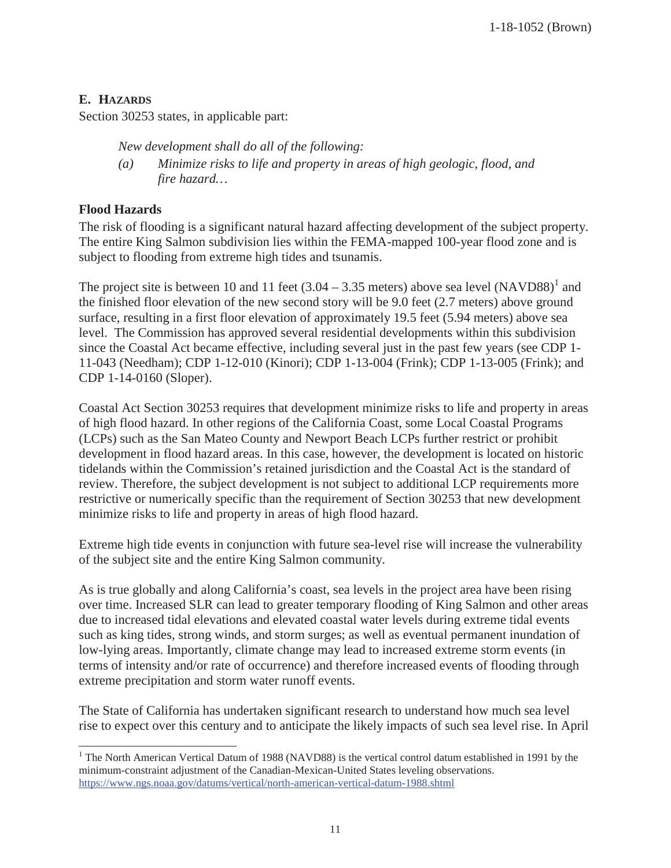#### **E. HAZARDS**

Section 30253 states, in applicable part:

*New development shall do all of the following:* 

*(a) Minimize risks to life and property in areas of high geologic, flood, and fire hazard…*

#### **Flood Hazards**

The risk of flooding is a significant natural hazard affecting development of the subject property. The entire King Salmon subdivision lies within the FEMA-mapped 100-year flood zone and is subject to flooding from extreme high tides and tsunamis.

The project site is between 10 and 11 feet  $(3.04 - 3.35 \text{ meters})$  above sea level  $(NAVD88)^1$  and the finished floor elevation of the new second story will be 9.0 feet (2.7 meters) above ground surface, resulting in a first floor elevation of approximately 19.5 feet (5.94 meters) above sea level. The Commission has approved several residential developments within this subdivision since the Coastal Act became effective, including several just in the past few years (see CDP 1- 11-043 (Needham); CDP 1-12-010 (Kinori); CDP 1-13-004 (Frink); CDP 1-13-005 (Frink); and CDP 1-14-0160 (Sloper).

Coastal Act Section 30253 requires that development minimize risks to life and property in areas of high flood hazard. In other regions of the California Coast, some Local Coastal Programs (LCPs) such as the San Mateo County and Newport Beach LCPs further restrict or prohibit development in flood hazard areas. In this case, however, the development is located on historic tidelands within the Commission's retained jurisdiction and the Coastal Act is the standard of review. Therefore, the subject development is not subject to additional LCP requirements more restrictive or numerically specific than the requirement of Section 30253 that new development minimize risks to life and property in areas of high flood hazard.

Extreme high tide events in conjunction with future sea-level rise will increase the vulnerability of the subject site and the entire King Salmon community.

As is true globally and along California's coast, sea levels in the project area have been rising over time. Increased SLR can lead to greater temporary flooding of King Salmon and other areas due to increased tidal elevations and elevated coastal water levels during extreme tidal events such as king tides, strong winds, and storm surges; as well as eventual permanent inundation of low-lying areas. Importantly, climate change may lead to increased extreme storm events (in terms of intensity and/or rate of occurrence) and therefore increased events of flooding through extreme precipitation and storm water runoff events.

The State of California has undertaken significant research to understand how much sea level rise to expect over this century and to anticipate the likely impacts of such sea level rise. In April

 $\overline{a}$ <sup>1</sup> The North American Vertical Datum of 1988 (NAVD88) is the vertical control datum established in 1991 by the minimum-constraint adjustment of the Canadian-Mexican-United States leveling observations. https://www.ngs.noaa.gov/datums/vertical/north-american-vertical-datum-1988.shtml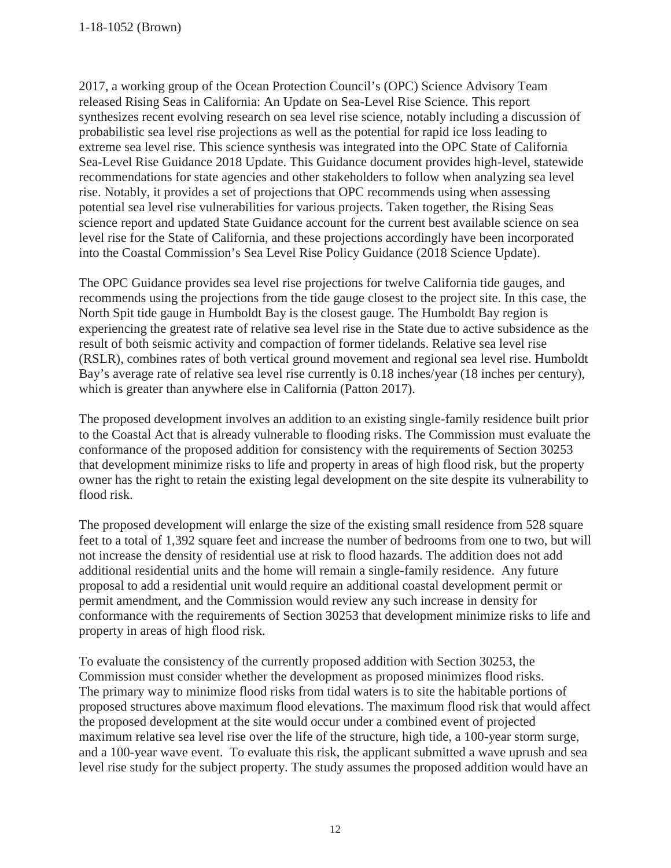1-18-1052 (Brown)

2017, a working group of the Ocean Protection Council's (OPC) Science Advisory Team released Rising Seas in California: An Update on Sea-Level Rise Science. This report synthesizes recent evolving research on sea level rise science, notably including a discussion of probabilistic sea level rise projections as well as the potential for rapid ice loss leading to extreme sea level rise. This science synthesis was integrated into the OPC State of California Sea-Level Rise Guidance 2018 Update. This Guidance document provides high-level, statewide recommendations for state agencies and other stakeholders to follow when analyzing sea level rise. Notably, it provides a set of projections that OPC recommends using when assessing potential sea level rise vulnerabilities for various projects. Taken together, the Rising Seas science report and updated State Guidance account for the current best available science on sea level rise for the State of California, and these projections accordingly have been incorporated into the Coastal Commission's Sea Level Rise Policy Guidance (2018 Science Update).

The OPC Guidance provides sea level rise projections for twelve California tide gauges, and recommends using the projections from the tide gauge closest to the project site. In this case, the North Spit tide gauge in Humboldt Bay is the closest gauge. The Humboldt Bay region is experiencing the greatest rate of relative sea level rise in the State due to active subsidence as the result of both seismic activity and compaction of former tidelands. Relative sea level rise (RSLR), combines rates of both vertical ground movement and regional sea level rise. Humboldt Bay's average rate of relative sea level rise currently is 0.18 inches/year (18 inches per century), which is greater than anywhere else in California (Patton 2017).

The proposed development involves an addition to an existing single-family residence built prior to the Coastal Act that is already vulnerable to flooding risks. The Commission must evaluate the conformance of the proposed addition for consistency with the requirements of Section 30253 that development minimize risks to life and property in areas of high flood risk, but the property owner has the right to retain the existing legal development on the site despite its vulnerability to flood risk.

The proposed development will enlarge the size of the existing small residence from 528 square feet to a total of 1,392 square feet and increase the number of bedrooms from one to two, but will not increase the density of residential use at risk to flood hazards. The addition does not add additional residential units and the home will remain a single-family residence. Any future proposal to add a residential unit would require an additional coastal development permit or permit amendment, and the Commission would review any such increase in density for conformance with the requirements of Section 30253 that development minimize risks to life and property in areas of high flood risk.

To evaluate the consistency of the currently proposed addition with Section 30253, the Commission must consider whether the development as proposed minimizes flood risks. The primary way to minimize flood risks from tidal waters is to site the habitable portions of proposed structures above maximum flood elevations. The maximum flood risk that would affect the proposed development at the site would occur under a combined event of projected maximum relative sea level rise over the life of the structure, high tide, a 100-year storm surge, and a 100-year wave event. To evaluate this risk, the applicant submitted a wave uprush and sea level rise study for the subject property. The study assumes the proposed addition would have an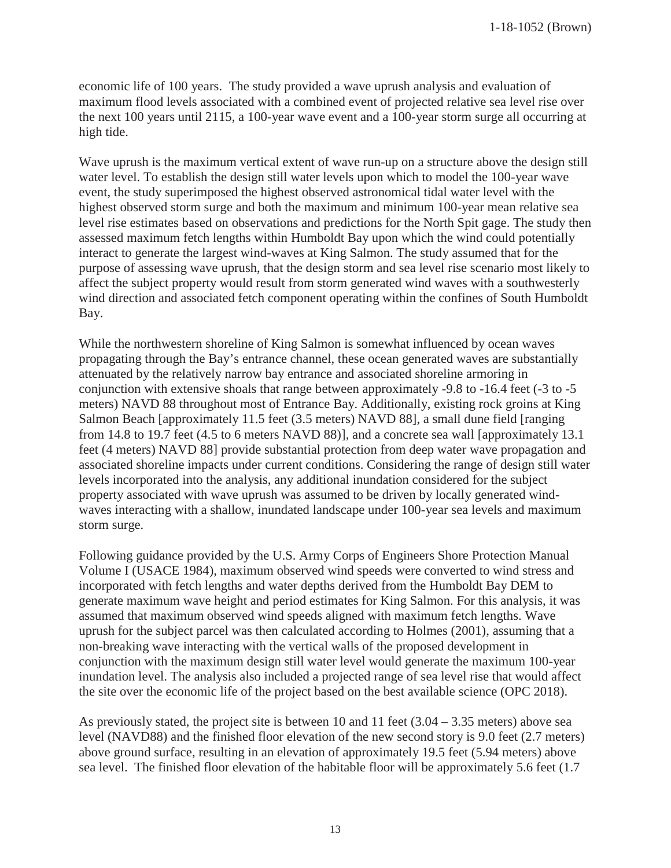economic life of 100 years. The study provided a wave uprush analysis and evaluation of maximum flood levels associated with a combined event of projected relative sea level rise over the next 100 years until 2115, a 100-year wave event and a 100-year storm surge all occurring at high tide.

Wave uprush is the maximum vertical extent of wave run-up on a structure above the design still water level. To establish the design still water levels upon which to model the 100-year wave event, the study superimposed the highest observed astronomical tidal water level with the highest observed storm surge and both the maximum and minimum 100-year mean relative sea level rise estimates based on observations and predictions for the North Spit gage. The study then assessed maximum fetch lengths within Humboldt Bay upon which the wind could potentially interact to generate the largest wind-waves at King Salmon. The study assumed that for the purpose of assessing wave uprush, that the design storm and sea level rise scenario most likely to affect the subject property would result from storm generated wind waves with a southwesterly wind direction and associated fetch component operating within the confines of South Humboldt Bay.

While the northwestern shoreline of King Salmon is somewhat influenced by ocean waves propagating through the Bay's entrance channel, these ocean generated waves are substantially attenuated by the relatively narrow bay entrance and associated shoreline armoring in conjunction with extensive shoals that range between approximately -9.8 to -16.4 feet (-3 to -5 meters) NAVD 88 throughout most of Entrance Bay. Additionally, existing rock groins at King Salmon Beach [approximately 11.5 feet (3.5 meters) NAVD 88], a small dune field [ranging from 14.8 to 19.7 feet (4.5 to 6 meters NAVD 88)], and a concrete sea wall [approximately 13.1 feet (4 meters) NAVD 88] provide substantial protection from deep water wave propagation and associated shoreline impacts under current conditions. Considering the range of design still water levels incorporated into the analysis, any additional inundation considered for the subject property associated with wave uprush was assumed to be driven by locally generated windwaves interacting with a shallow, inundated landscape under 100-year sea levels and maximum storm surge.

Following guidance provided by the U.S. Army Corps of Engineers Shore Protection Manual Volume I (USACE 1984), maximum observed wind speeds were converted to wind stress and incorporated with fetch lengths and water depths derived from the Humboldt Bay DEM to generate maximum wave height and period estimates for King Salmon. For this analysis, it was assumed that maximum observed wind speeds aligned with maximum fetch lengths. Wave uprush for the subject parcel was then calculated according to Holmes (2001), assuming that a non-breaking wave interacting with the vertical walls of the proposed development in conjunction with the maximum design still water level would generate the maximum 100-year inundation level. The analysis also included a projected range of sea level rise that would affect the site over the economic life of the project based on the best available science (OPC 2018).

As previously stated, the project site is between 10 and 11 feet  $(3.04 - 3.35$  meters) above sea level (NAVD88) and the finished floor elevation of the new second story is 9.0 feet (2.7 meters) above ground surface, resulting in an elevation of approximately 19.5 feet (5.94 meters) above sea level. The finished floor elevation of the habitable floor will be approximately 5.6 feet (1.7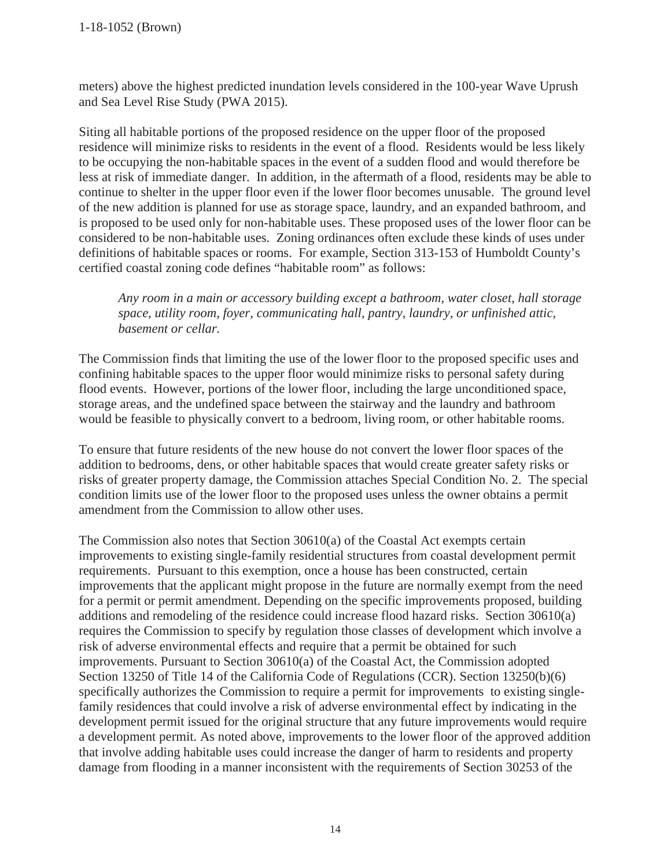meters) above the highest predicted inundation levels considered in the 100-year Wave Uprush and Sea Level Rise Study (PWA 2015).

Siting all habitable portions of the proposed residence on the upper floor of the proposed residence will minimize risks to residents in the event of a flood. Residents would be less likely to be occupying the non-habitable spaces in the event of a sudden flood and would therefore be less at risk of immediate danger. In addition, in the aftermath of a flood, residents may be able to continue to shelter in the upper floor even if the lower floor becomes unusable. The ground level of the new addition is planned for use as storage space, laundry, and an expanded bathroom, and is proposed to be used only for non-habitable uses. These proposed uses of the lower floor can be considered to be non-habitable uses. Zoning ordinances often exclude these kinds of uses under definitions of habitable spaces or rooms. For example, Section 313-153 of Humboldt County's certified coastal zoning code defines "habitable room" as follows:

*Any room in a main or accessory building except a bathroom, water closet, hall storage space, utility room, foyer, communicating hall, pantry, laundry, or unfinished attic, basement or cellar.* 

The Commission finds that limiting the use of the lower floor to the proposed specific uses and confining habitable spaces to the upper floor would minimize risks to personal safety during flood events. However, portions of the lower floor, including the large unconditioned space, storage areas, and the undefined space between the stairway and the laundry and bathroom would be feasible to physically convert to a bedroom, living room, or other habitable rooms.

To ensure that future residents of the new house do not convert the lower floor spaces of the addition to bedrooms, dens, or other habitable spaces that would create greater safety risks or risks of greater property damage, the Commission attaches Special Condition No. 2. The special condition limits use of the lower floor to the proposed uses unless the owner obtains a permit amendment from the Commission to allow other uses.

The Commission also notes that Section 30610(a) of the Coastal Act exempts certain improvements to existing single-family residential structures from coastal development permit requirements. Pursuant to this exemption, once a house has been constructed, certain improvements that the applicant might propose in the future are normally exempt from the need for a permit or permit amendment. Depending on the specific improvements proposed, building additions and remodeling of the residence could increase flood hazard risks. Section 30610(a) requires the Commission to specify by regulation those classes of development which involve a risk of adverse environmental effects and require that a permit be obtained for such improvements. Pursuant to Section 30610(a) of the Coastal Act, the Commission adopted Section 13250 of Title 14 of the California Code of Regulations (CCR). Section 13250(b)(6) specifically authorizes the Commission to require a permit for improvements to existing singlefamily residences that could involve a risk of adverse environmental effect by indicating in the development permit issued for the original structure that any future improvements would require a development permit. As noted above, improvements to the lower floor of the approved addition that involve adding habitable uses could increase the danger of harm to residents and property damage from flooding in a manner inconsistent with the requirements of Section 30253 of the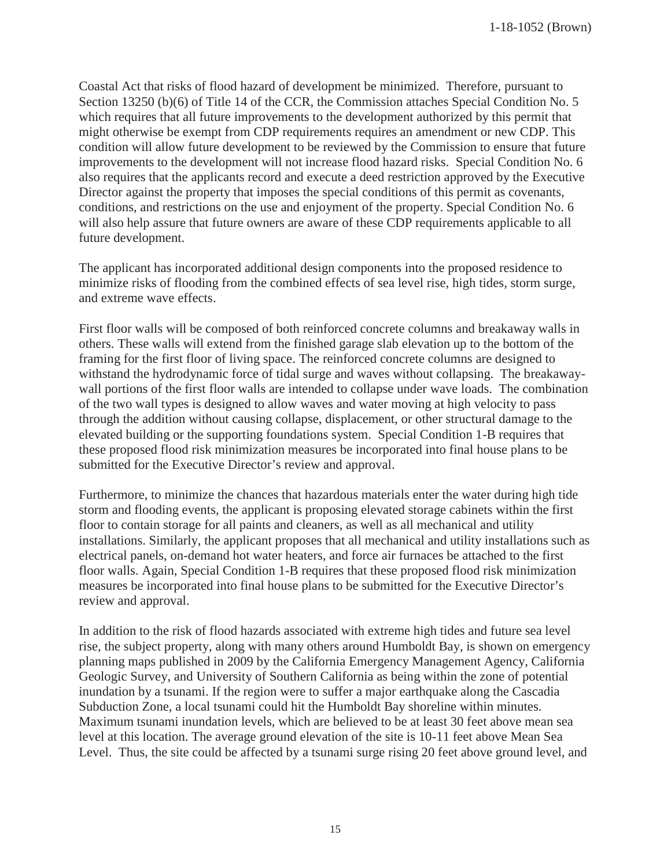Coastal Act that risks of flood hazard of development be minimized. Therefore, pursuant to Section 13250 (b)(6) of Title 14 of the CCR, the Commission attaches Special Condition No. 5 which requires that all future improvements to the development authorized by this permit that might otherwise be exempt from CDP requirements requires an amendment or new CDP. This condition will allow future development to be reviewed by the Commission to ensure that future improvements to the development will not increase flood hazard risks. Special Condition No. 6 also requires that the applicants record and execute a deed restriction approved by the Executive Director against the property that imposes the special conditions of this permit as covenants, conditions, and restrictions on the use and enjoyment of the property. Special Condition No. 6 will also help assure that future owners are aware of these CDP requirements applicable to all future development.

The applicant has incorporated additional design components into the proposed residence to minimize risks of flooding from the combined effects of sea level rise, high tides, storm surge, and extreme wave effects.

First floor walls will be composed of both reinforced concrete columns and breakaway walls in others. These walls will extend from the finished garage slab elevation up to the bottom of the framing for the first floor of living space. The reinforced concrete columns are designed to withstand the hydrodynamic force of tidal surge and waves without collapsing. The breakawaywall portions of the first floor walls are intended to collapse under wave loads. The combination of the two wall types is designed to allow waves and water moving at high velocity to pass through the addition without causing collapse, displacement, or other structural damage to the elevated building or the supporting foundations system. Special Condition 1-B requires that these proposed flood risk minimization measures be incorporated into final house plans to be submitted for the Executive Director's review and approval.

Furthermore, to minimize the chances that hazardous materials enter the water during high tide storm and flooding events, the applicant is proposing elevated storage cabinets within the first floor to contain storage for all paints and cleaners, as well as all mechanical and utility installations. Similarly, the applicant proposes that all mechanical and utility installations such as electrical panels, on-demand hot water heaters, and force air furnaces be attached to the first floor walls. Again, Special Condition 1-B requires that these proposed flood risk minimization measures be incorporated into final house plans to be submitted for the Executive Director's review and approval.

In addition to the risk of flood hazards associated with extreme high tides and future sea level rise, the subject property, along with many others around Humboldt Bay, is shown on emergency planning maps published in 2009 by the California Emergency Management Agency, California Geologic Survey, and University of Southern California as being within the zone of potential inundation by a tsunami. If the region were to suffer a major earthquake along the Cascadia Subduction Zone, a local tsunami could hit the Humboldt Bay shoreline within minutes. Maximum tsunami inundation levels, which are believed to be at least 30 feet above mean sea level at this location. The average ground elevation of the site is 10-11 feet above Mean Sea Level. Thus, the site could be affected by a tsunami surge rising 20 feet above ground level, and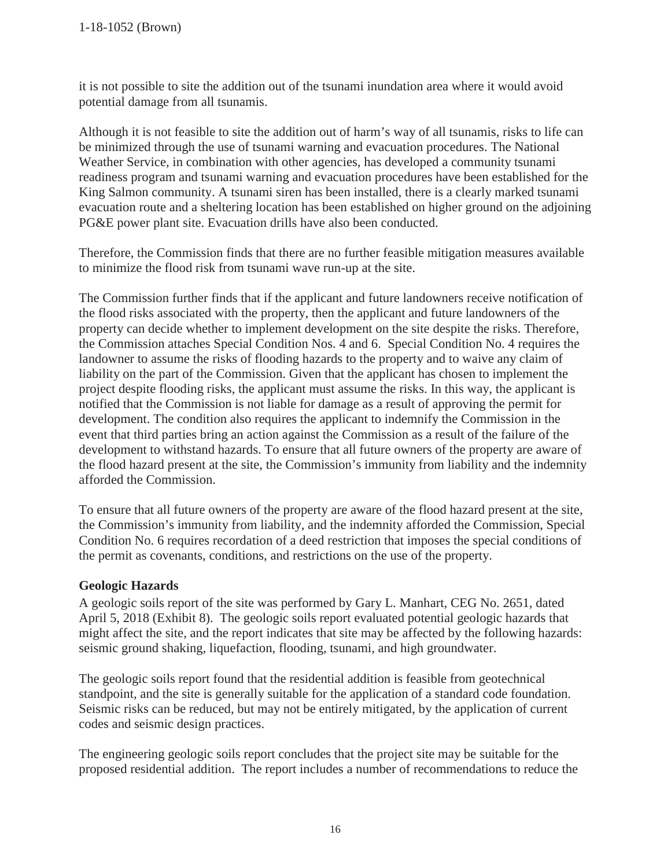it is not possible to site the addition out of the tsunami inundation area where it would avoid potential damage from all tsunamis.

Although it is not feasible to site the addition out of harm's way of all tsunamis, risks to life can be minimized through the use of tsunami warning and evacuation procedures. The National Weather Service, in combination with other agencies, has developed a community tsunami readiness program and tsunami warning and evacuation procedures have been established for the King Salmon community. A tsunami siren has been installed, there is a clearly marked tsunami evacuation route and a sheltering location has been established on higher ground on the adjoining PG&E power plant site. Evacuation drills have also been conducted.

Therefore, the Commission finds that there are no further feasible mitigation measures available to minimize the flood risk from tsunami wave run-up at the site.

The Commission further finds that if the applicant and future landowners receive notification of the flood risks associated with the property, then the applicant and future landowners of the property can decide whether to implement development on the site despite the risks. Therefore, the Commission attaches Special Condition Nos. 4 and 6. Special Condition No. 4 requires the landowner to assume the risks of flooding hazards to the property and to waive any claim of liability on the part of the Commission. Given that the applicant has chosen to implement the project despite flooding risks, the applicant must assume the risks. In this way, the applicant is notified that the Commission is not liable for damage as a result of approving the permit for development. The condition also requires the applicant to indemnify the Commission in the event that third parties bring an action against the Commission as a result of the failure of the development to withstand hazards. To ensure that all future owners of the property are aware of the flood hazard present at the site, the Commission's immunity from liability and the indemnity afforded the Commission.

To ensure that all future owners of the property are aware of the flood hazard present at the site, the Commission's immunity from liability, and the indemnity afforded the Commission, Special Condition No. 6 requires recordation of a deed restriction that imposes the special conditions of the permit as covenants, conditions, and restrictions on the use of the property.

#### **Geologic Hazards**

A geologic soils report of the site was performed by Gary L. Manhart, CEG No. 2651, dated April 5, 2018 (Exhibit 8). The geologic soils report evaluated potential geologic hazards that might affect the site, and the report indicates that site may be affected by the following hazards: seismic ground shaking, liquefaction, flooding, tsunami, and high groundwater.

The geologic soils report found that the residential addition is feasible from geotechnical standpoint, and the site is generally suitable for the application of a standard code foundation. Seismic risks can be reduced, but may not be entirely mitigated, by the application of current codes and seismic design practices.

The engineering geologic soils report concludes that the project site may be suitable for the proposed residential addition. The report includes a number of recommendations to reduce the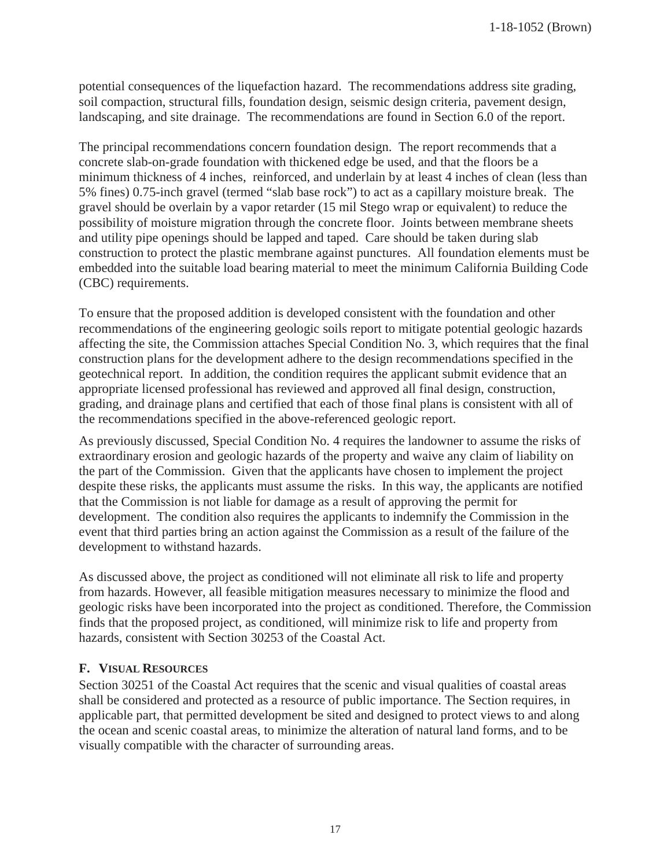potential consequences of the liquefaction hazard. The recommendations address site grading, soil compaction, structural fills, foundation design, seismic design criteria, pavement design, landscaping, and site drainage. The recommendations are found in Section 6.0 of the report.

The principal recommendations concern foundation design. The report recommends that a concrete slab-on-grade foundation with thickened edge be used, and that the floors be a minimum thickness of 4 inches, reinforced, and underlain by at least 4 inches of clean (less than 5% fines) 0.75-inch gravel (termed "slab base rock") to act as a capillary moisture break. The gravel should be overlain by a vapor retarder (15 mil Stego wrap or equivalent) to reduce the possibility of moisture migration through the concrete floor. Joints between membrane sheets and utility pipe openings should be lapped and taped. Care should be taken during slab construction to protect the plastic membrane against punctures. All foundation elements must be embedded into the suitable load bearing material to meet the minimum California Building Code (CBC) requirements.

To ensure that the proposed addition is developed consistent with the foundation and other recommendations of the engineering geologic soils report to mitigate potential geologic hazards affecting the site, the Commission attaches Special Condition No. 3, which requires that the final construction plans for the development adhere to the design recommendations specified in the geotechnical report. In addition, the condition requires the applicant submit evidence that an appropriate licensed professional has reviewed and approved all final design, construction, grading, and drainage plans and certified that each of those final plans is consistent with all of the recommendations specified in the above-referenced geologic report.

As previously discussed, Special Condition No. 4 requires the landowner to assume the risks of extraordinary erosion and geologic hazards of the property and waive any claim of liability on the part of the Commission. Given that the applicants have chosen to implement the project despite these risks, the applicants must assume the risks. In this way, the applicants are notified that the Commission is not liable for damage as a result of approving the permit for development. The condition also requires the applicants to indemnify the Commission in the event that third parties bring an action against the Commission as a result of the failure of the development to withstand hazards.

As discussed above, the project as conditioned will not eliminate all risk to life and property from hazards. However, all feasible mitigation measures necessary to minimize the flood and geologic risks have been incorporated into the project as conditioned. Therefore, the Commission finds that the proposed project, as conditioned, will minimize risk to life and property from hazards, consistent with Section 30253 of the Coastal Act.

#### **F. VISUAL RESOURCES**

Section 30251 of the Coastal Act requires that the scenic and visual qualities of coastal areas shall be considered and protected as a resource of public importance. The Section requires, in applicable part, that permitted development be sited and designed to protect views to and along the ocean and scenic coastal areas, to minimize the alteration of natural land forms, and to be visually compatible with the character of surrounding areas.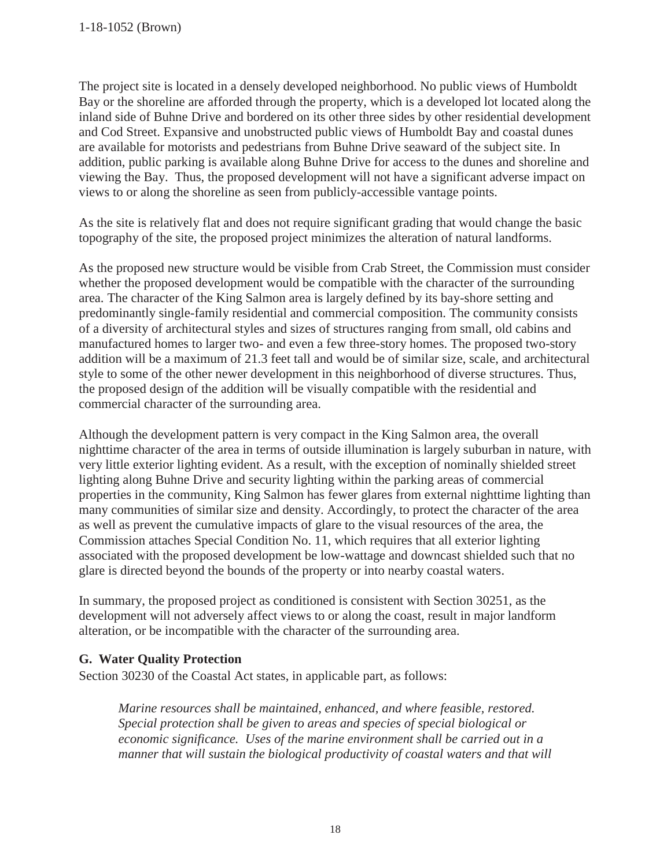The project site is located in a densely developed neighborhood. No public views of Humboldt Bay or the shoreline are afforded through the property, which is a developed lot located along the inland side of Buhne Drive and bordered on its other three sides by other residential development and Cod Street. Expansive and unobstructed public views of Humboldt Bay and coastal dunes are available for motorists and pedestrians from Buhne Drive seaward of the subject site. In addition, public parking is available along Buhne Drive for access to the dunes and shoreline and viewing the Bay. Thus, the proposed development will not have a significant adverse impact on views to or along the shoreline as seen from publicly-accessible vantage points.

As the site is relatively flat and does not require significant grading that would change the basic topography of the site, the proposed project minimizes the alteration of natural landforms.

As the proposed new structure would be visible from Crab Street, the Commission must consider whether the proposed development would be compatible with the character of the surrounding area. The character of the King Salmon area is largely defined by its bay-shore setting and predominantly single-family residential and commercial composition. The community consists of a diversity of architectural styles and sizes of structures ranging from small, old cabins and manufactured homes to larger two- and even a few three-story homes. The proposed two-story addition will be a maximum of 21.3 feet tall and would be of similar size, scale, and architectural style to some of the other newer development in this neighborhood of diverse structures. Thus, the proposed design of the addition will be visually compatible with the residential and commercial character of the surrounding area.

Although the development pattern is very compact in the King Salmon area, the overall nighttime character of the area in terms of outside illumination is largely suburban in nature, with very little exterior lighting evident. As a result, with the exception of nominally shielded street lighting along Buhne Drive and security lighting within the parking areas of commercial properties in the community, King Salmon has fewer glares from external nighttime lighting than many communities of similar size and density. Accordingly, to protect the character of the area as well as prevent the cumulative impacts of glare to the visual resources of the area, the Commission attaches Special Condition No. 11, which requires that all exterior lighting associated with the proposed development be low-wattage and downcast shielded such that no glare is directed beyond the bounds of the property or into nearby coastal waters.

In summary, the proposed project as conditioned is consistent with Section 30251, as the development will not adversely affect views to or along the coast, result in major landform alteration, or be incompatible with the character of the surrounding area.

#### **G. Water Quality Protection**

Section 30230 of the Coastal Act states, in applicable part, as follows:

*Marine resources shall be maintained, enhanced, and where feasible, restored. Special protection shall be given to areas and species of special biological or economic significance. Uses of the marine environment shall be carried out in a manner that will sustain the biological productivity of coastal waters and that will*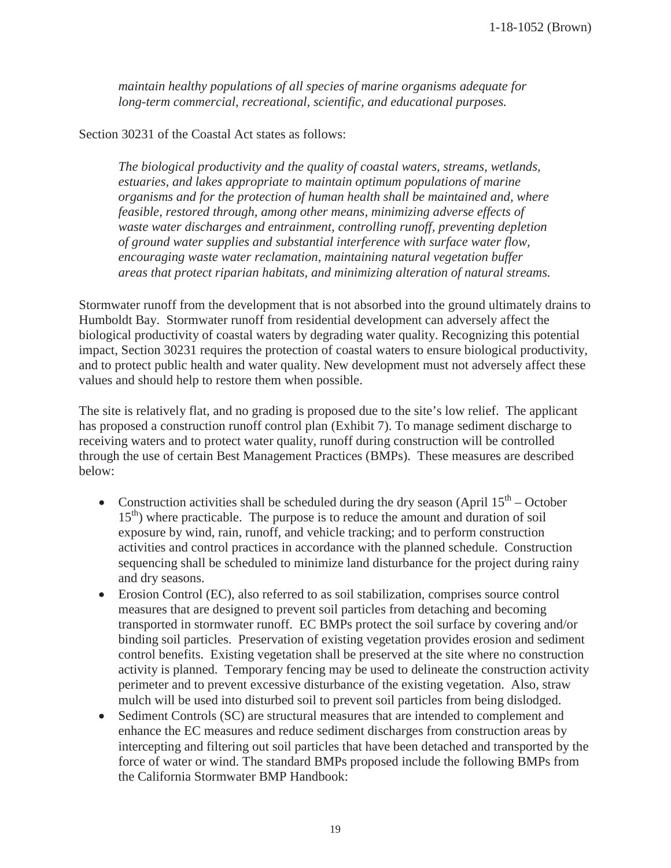*maintain healthy populations of all species of marine organisms adequate for long-term commercial, recreational, scientific, and educational purposes.* 

#### Section 30231 of the Coastal Act states as follows:

*The biological productivity and the quality of coastal waters, streams, wetlands, estuaries, and lakes appropriate to maintain optimum populations of marine organisms and for the protection of human health shall be maintained and, where feasible, restored through, among other means, minimizing adverse effects of waste water discharges and entrainment, controlling runoff, preventing depletion of ground water supplies and substantial interference with surface water flow, encouraging waste water reclamation, maintaining natural vegetation buffer areas that protect riparian habitats, and minimizing alteration of natural streams.* 

Stormwater runoff from the development that is not absorbed into the ground ultimately drains to Humboldt Bay. Stormwater runoff from residential development can adversely affect the biological productivity of coastal waters by degrading water quality. Recognizing this potential impact, Section 30231 requires the protection of coastal waters to ensure biological productivity, and to protect public health and water quality. New development must not adversely affect these values and should help to restore them when possible.

The site is relatively flat, and no grading is proposed due to the site's low relief. The applicant has proposed a construction runoff control plan (Exhibit 7). To manage sediment discharge to receiving waters and to protect water quality, runoff during construction will be controlled through the use of certain Best Management Practices (BMPs). These measures are described below:

- Construction activities shall be scheduled during the dry season (April  $15<sup>th</sup>$  October  $15<sup>th</sup>$ ) where practicable. The purpose is to reduce the amount and duration of soil exposure by wind, rain, runoff, and vehicle tracking; and to perform construction activities and control practices in accordance with the planned schedule. Construction sequencing shall be scheduled to minimize land disturbance for the project during rainy and dry seasons.
- $\bullet$  Erosion Control (EC), also referred to as soil stabilization, comprises source control measures that are designed to prevent soil particles from detaching and becoming transported in stormwater runoff. EC BMPs protect the soil surface by covering and/or binding soil particles. Preservation of existing vegetation provides erosion and sediment control benefits. Existing vegetation shall be preserved at the site where no construction activity is planned. Temporary fencing may be used to delineate the construction activity perimeter and to prevent excessive disturbance of the existing vegetation. Also, straw mulch will be used into disturbed soil to prevent soil particles from being dislodged.
- Sediment Controls (SC) are structural measures that are intended to complement and enhance the EC measures and reduce sediment discharges from construction areas by intercepting and filtering out soil particles that have been detached and transported by the force of water or wind. The standard BMPs proposed include the following BMPs from the California Stormwater BMP Handbook: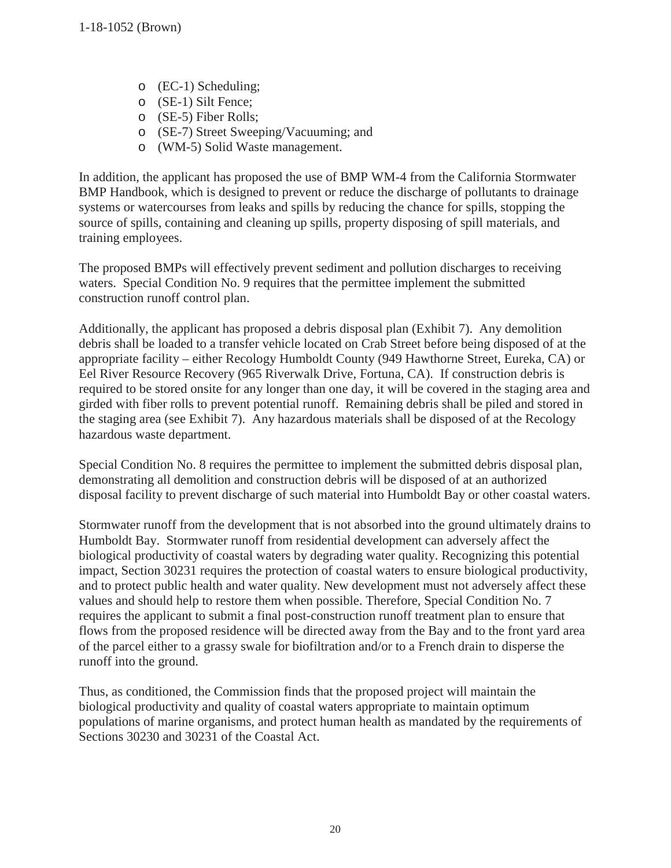- o (EC-1) Scheduling;
- o (SE-1) Silt Fence;
- o (SE-5) Fiber Rolls;
- o (SE-7) Street Sweeping/Vacuuming; and
- o (WM-5) Solid Waste management.

In addition, the applicant has proposed the use of BMP WM-4 from the California Stormwater BMP Handbook, which is designed to prevent or reduce the discharge of pollutants to drainage systems or watercourses from leaks and spills by reducing the chance for spills, stopping the source of spills, containing and cleaning up spills, property disposing of spill materials, and training employees.

The proposed BMPs will effectively prevent sediment and pollution discharges to receiving waters. Special Condition No. 9 requires that the permittee implement the submitted construction runoff control plan.

Additionally, the applicant has proposed a debris disposal plan (Exhibit 7). Any demolition debris shall be loaded to a transfer vehicle located on Crab Street before being disposed of at the appropriate facility – either Recology Humboldt County (949 Hawthorne Street, Eureka, CA) or Eel River Resource Recovery (965 Riverwalk Drive, Fortuna, CA). If construction debris is required to be stored onsite for any longer than one day, it will be covered in the staging area and girded with fiber rolls to prevent potential runoff. Remaining debris shall be piled and stored in the staging area (see Exhibit 7). Any hazardous materials shall be disposed of at the Recology hazardous waste department.

Special Condition No. 8 requires the permittee to implement the submitted debris disposal plan, demonstrating all demolition and construction debris will be disposed of at an authorized disposal facility to prevent discharge of such material into Humboldt Bay or other coastal waters.

Stormwater runoff from the development that is not absorbed into the ground ultimately drains to Humboldt Bay. Stormwater runoff from residential development can adversely affect the biological productivity of coastal waters by degrading water quality. Recognizing this potential impact, Section 30231 requires the protection of coastal waters to ensure biological productivity, and to protect public health and water quality. New development must not adversely affect these values and should help to restore them when possible. Therefore, Special Condition No. 7 requires the applicant to submit a final post-construction runoff treatment plan to ensure that flows from the proposed residence will be directed away from the Bay and to the front yard area of the parcel either to a grassy swale for biofiltration and/or to a French drain to disperse the runoff into the ground.

Thus, as conditioned, the Commission finds that the proposed project will maintain the biological productivity and quality of coastal waters appropriate to maintain optimum populations of marine organisms, and protect human health as mandated by the requirements of Sections 30230 and 30231 of the Coastal Act.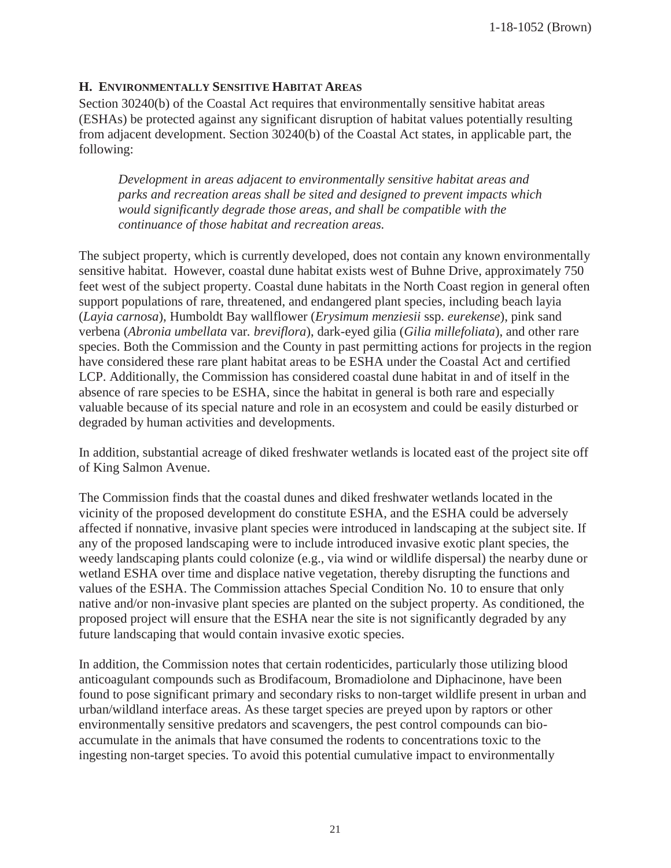1-18-1052 (Brown)

#### **H. ENVIRONMENTALLY SENSITIVE HABITAT AREAS**

Section 30240(b) of the Coastal Act requires that environmentally sensitive habitat areas (ESHAs) be protected against any significant disruption of habitat values potentially resulting from adjacent development. Section 30240(b) of the Coastal Act states, in applicable part, the following:

*Development in areas adjacent to environmentally sensitive habitat areas and parks and recreation areas shall be sited and designed to prevent impacts which would significantly degrade those areas, and shall be compatible with the continuance of those habitat and recreation areas.* 

The subject property, which is currently developed, does not contain any known environmentally sensitive habitat. However, coastal dune habitat exists west of Buhne Drive, approximately 750 feet west of the subject property. Coastal dune habitats in the North Coast region in general often support populations of rare, threatened, and endangered plant species, including beach layia (*Layia carnosa*), Humboldt Bay wallflower (*Erysimum menziesii* ssp. *eurekense*), pink sand verbena (*Abronia umbellata* var*. breviflora*), dark-eyed gilia (*Gilia millefoliata*), and other rare species. Both the Commission and the County in past permitting actions for projects in the region have considered these rare plant habitat areas to be ESHA under the Coastal Act and certified LCP. Additionally, the Commission has considered coastal dune habitat in and of itself in the absence of rare species to be ESHA, since the habitat in general is both rare and especially valuable because of its special nature and role in an ecosystem and could be easily disturbed or degraded by human activities and developments.

In addition, substantial acreage of diked freshwater wetlands is located east of the project site off of King Salmon Avenue.

The Commission finds that the coastal dunes and diked freshwater wetlands located in the vicinity of the proposed development do constitute ESHA, and the ESHA could be adversely affected if nonnative, invasive plant species were introduced in landscaping at the subject site. If any of the proposed landscaping were to include introduced invasive exotic plant species, the weedy landscaping plants could colonize (e.g., via wind or wildlife dispersal) the nearby dune or wetland ESHA over time and displace native vegetation, thereby disrupting the functions and values of the ESHA. The Commission attaches Special Condition No. 10 to ensure that only native and/or non-invasive plant species are planted on the subject property. As conditioned, the proposed project will ensure that the ESHA near the site is not significantly degraded by any future landscaping that would contain invasive exotic species.

In addition, the Commission notes that certain rodenticides, particularly those utilizing blood anticoagulant compounds such as Brodifacoum, Bromadiolone and Diphacinone, have been found to pose significant primary and secondary risks to non-target wildlife present in urban and urban/wildland interface areas. As these target species are preyed upon by raptors or other environmentally sensitive predators and scavengers, the pest control compounds can bioaccumulate in the animals that have consumed the rodents to concentrations toxic to the ingesting non-target species. To avoid this potential cumulative impact to environmentally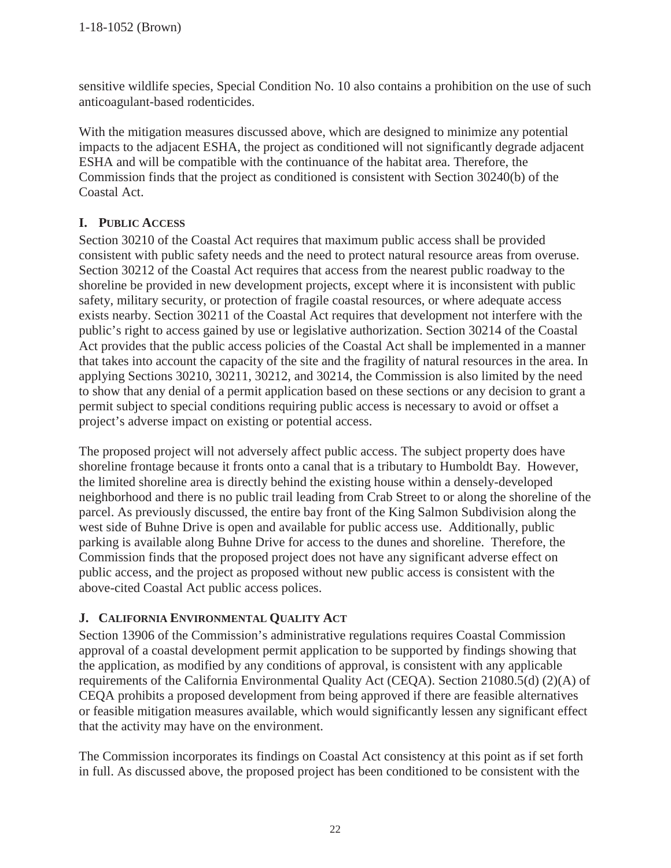sensitive wildlife species, Special Condition No. 10 also contains a prohibition on the use of such anticoagulant-based rodenticides.

With the mitigation measures discussed above, which are designed to minimize any potential impacts to the adjacent ESHA, the project as conditioned will not significantly degrade adjacent ESHA and will be compatible with the continuance of the habitat area. Therefore, the Commission finds that the project as conditioned is consistent with Section 30240(b) of the Coastal Act.

#### **I. PUBLIC ACCESS**

Section 30210 of the Coastal Act requires that maximum public access shall be provided consistent with public safety needs and the need to protect natural resource areas from overuse. Section 30212 of the Coastal Act requires that access from the nearest public roadway to the shoreline be provided in new development projects, except where it is inconsistent with public safety, military security, or protection of fragile coastal resources, or where adequate access exists nearby. Section 30211 of the Coastal Act requires that development not interfere with the public's right to access gained by use or legislative authorization. Section 30214 of the Coastal Act provides that the public access policies of the Coastal Act shall be implemented in a manner that takes into account the capacity of the site and the fragility of natural resources in the area. In applying Sections 30210, 30211, 30212, and 30214, the Commission is also limited by the need to show that any denial of a permit application based on these sections or any decision to grant a permit subject to special conditions requiring public access is necessary to avoid or offset a project's adverse impact on existing or potential access.

The proposed project will not adversely affect public access. The subject property does have shoreline frontage because it fronts onto a canal that is a tributary to Humboldt Bay. However, the limited shoreline area is directly behind the existing house within a densely-developed neighborhood and there is no public trail leading from Crab Street to or along the shoreline of the parcel. As previously discussed, the entire bay front of the King Salmon Subdivision along the west side of Buhne Drive is open and available for public access use. Additionally, public parking is available along Buhne Drive for access to the dunes and shoreline. Therefore, the Commission finds that the proposed project does not have any significant adverse effect on public access, and the project as proposed without new public access is consistent with the above-cited Coastal Act public access polices.

#### **J. CALIFORNIA ENVIRONMENTAL QUALITY ACT**

Section 13906 of the Commission's administrative regulations requires Coastal Commission approval of a coastal development permit application to be supported by findings showing that the application, as modified by any conditions of approval, is consistent with any applicable requirements of the California Environmental Quality Act (CEQA). Section 21080.5(d) (2)(A) of CEQA prohibits a proposed development from being approved if there are feasible alternatives or feasible mitigation measures available, which would significantly lessen any significant effect that the activity may have on the environment.

The Commission incorporates its findings on Coastal Act consistency at this point as if set forth in full. As discussed above, the proposed project has been conditioned to be consistent with the